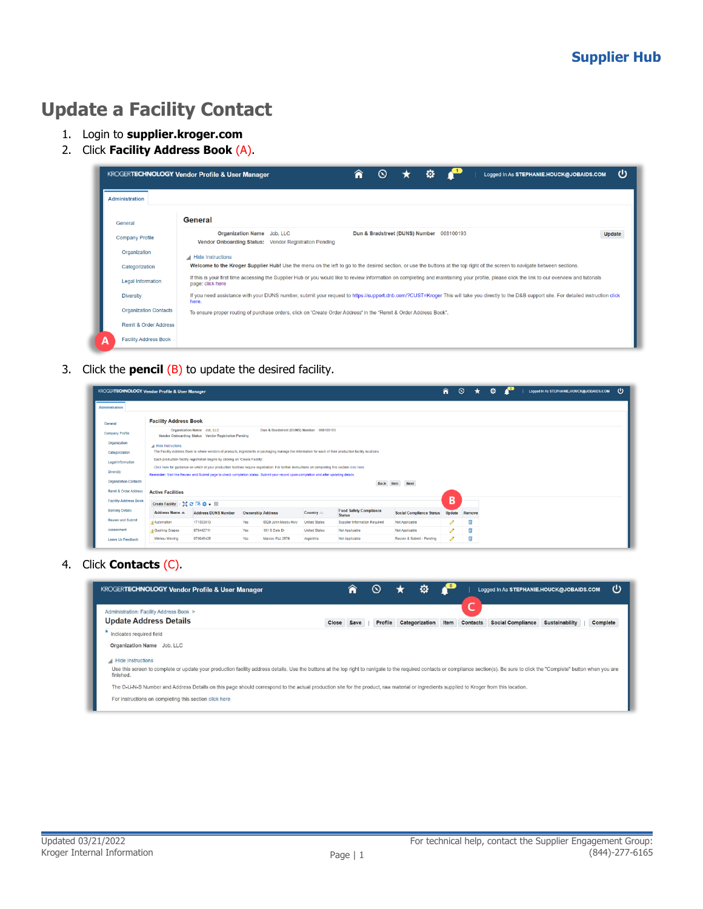# **Update a Facility Contact**

- 1. Login to **supplier.kroger.com**
- 2. Click **Facility Address Book** (A).

|                                  | o<br>ധ<br>Â<br><b>KROGERTECHNOLOGY Vendor Profile &amp; User Manager</b><br>$\infty$<br>Logged In As STEPHANIE.HOUCK@JOBAIDS.COM                                                                                  |
|----------------------------------|-------------------------------------------------------------------------------------------------------------------------------------------------------------------------------------------------------------------|
| <b>Administration</b>            |                                                                                                                                                                                                                   |
| General                          | General                                                                                                                                                                                                           |
| <b>Company Profile</b>           | Organization Name Job, LLC<br>Dun & Bradstreet (DUNS) Number 068100193<br>Update<br>Vendor Onboarding Status: Vendor Registration Pending                                                                         |
| Organization                     | Hide Instructions                                                                                                                                                                                                 |
| Categorization                   | Welcome to the Kroger Supplier Hub! Use the menu on the left to go to the desired section, or use the buttons at the top right of the screen to navigate between sections.                                        |
| <b>Legal Information</b>         | If this is your first time accessing the Supplier Hub or you would like to review information on completing and maintaining your profile, please click the link to our overview and tutorials<br>page: click here |
| <b>Diversity</b>                 | If you need assistance with your DUNS number, submit your request to https://support.dnb.com/?CUST=Kroger This will take you directly to the D&B support site. For detailed instruction click<br>here.            |
| <b>Organization Contacts</b>     | To ensure proper routing of purchase orders, click on 'Create Order Address' in the "Remit & Order Address Book".                                                                                                 |
| <b>Remit &amp; Order Address</b> |                                                                                                                                                                                                                   |
| <b>Facility Address Book</b>     |                                                                                                                                                                                                                   |

3. Click the **pencil** (B) to update the desired facility.

|                              | <b>KROGERTECHNOLOGY Vendor Profile &amp; User Manager</b> |                                                                                                                                                                                                                                                                                              |                          |                                          |                      |                                                |                                 | â             | $\circ$<br>$\star$ | o | Logged In As STEPHANIE.HOUCK@JOBAIDS.COM |
|------------------------------|-----------------------------------------------------------|----------------------------------------------------------------------------------------------------------------------------------------------------------------------------------------------------------------------------------------------------------------------------------------------|--------------------------|------------------------------------------|----------------------|------------------------------------------------|---------------------------------|---------------|--------------------|---|------------------------------------------|
| <b>Administration</b>        |                                                           |                                                                                                                                                                                                                                                                                              |                          |                                          |                      |                                                |                                 |               |                    |   |                                          |
| General                      | <b>Facility Address Book</b>                              |                                                                                                                                                                                                                                                                                              |                          |                                          |                      |                                                |                                 |               |                    |   |                                          |
| Company Profile              |                                                           | Organization Name Job, LLC<br>Vendor Onboarding Status Vendor Registration Pending                                                                                                                                                                                                           |                          | Dun & Bradstreet (DUNS) Number 068100193 |                      |                                                |                                 |               |                    |   |                                          |
| Organization                 | A Hide Instructions                                       |                                                                                                                                                                                                                                                                                              |                          |                                          |                      |                                                |                                 |               |                    |   |                                          |
| Categorization               |                                                           | The Facility Address Book is where vendors of products, ingredients or packaging manage the information for each of their production facility locations,                                                                                                                                     |                          |                                          |                      |                                                |                                 |               |                    |   |                                          |
| Legal Information            |                                                           | Each production facility registration begins by clicking on 'Create Facility'.                                                                                                                                                                                                               |                          |                                          |                      |                                                |                                 |               |                    |   |                                          |
| <b>Diversity</b>             |                                                           | Click here for guidance on which of your production facilities require registration. For further instructions on completing this section click here<br>Reminder: Visit the Review and Submit page to check completion status. Submit your record upon completion and after updating details. |                          |                                          |                      |                                                |                                 |               |                    |   |                                          |
| <b>Organization Contacts</b> |                                                           |                                                                                                                                                                                                                                                                                              |                          |                                          |                      | Back Item                                      | <b>Next</b>                     |               |                    |   |                                          |
| Remit & Order Address        | <b>Active Facilities</b>                                  |                                                                                                                                                                                                                                                                                              |                          |                                          |                      |                                                |                                 |               |                    |   |                                          |
| <b>Facility Address Book</b> | Create Facility   2 2 回 卷 - 画                             |                                                                                                                                                                                                                                                                                              |                          |                                          |                      |                                                |                                 | B             |                    |   |                                          |
| <b>Banking Details</b>       | <b>Address Name A</b>                                     | <b>Address DUNS Number</b>                                                                                                                                                                                                                                                                   | <b>Ownership Address</b> |                                          | Country $\triangle$  | <b>Food Safety Compliance</b><br><b>Status</b> | <b>Social Compliance Status</b> | <b>Update</b> | Remove             |   |                                          |
| Review and Submit            | Automation                                                | 171503613                                                                                                                                                                                                                                                                                    | Yes                      | 6529 John Mosby Hwy                      | <b>United States</b> | Supplier Information Required                  | Not Applicable                  |               | Û                  |   |                                          |
|                              |                                                           |                                                                                                                                                                                                                                                                                              |                          |                                          |                      |                                                |                                 |               | Ĥ                  |   |                                          |
| Assessment                   | Gushing Grapes                                            | 876442711                                                                                                                                                                                                                                                                                    | Yes                      | 101 S Dale Dr                            | <b>United States</b> | Not Applicable                                 | Not Applicable                  |               |                    |   |                                          |

4. Click **Contacts** (C).

| <b>KROGERTECHNOLOGY Vendor Profile &amp; User Manager</b>                                                                                                                                                                                   |       | п    |         | ٠              |      |                 | Logged In As STEPHANIE.HOUCK@JOBAIDS.COM |                | ധ        |
|---------------------------------------------------------------------------------------------------------------------------------------------------------------------------------------------------------------------------------------------|-------|------|---------|----------------|------|-----------------|------------------------------------------|----------------|----------|
| Administration: Facility Address Book ><br><b>Update Address Details</b>                                                                                                                                                                    | Close | Save | Profile | Categorization | Item | <b>Contacts</b> | <b>Social Compliance</b>                 | Sustainability | Complete |
| Indicates required field                                                                                                                                                                                                                    |       |      |         |                |      |                 |                                          |                |          |
| Organization Name Job. LLC                                                                                                                                                                                                                  |       |      |         |                |      |                 |                                          |                |          |
| Hide Instructions                                                                                                                                                                                                                           |       |      |         |                |      |                 |                                          |                |          |
| Use this screen to complete or update your production facility address details. Use the buttons at the top right to navigate to the required contacts or compliance section(s). Be sure to click the "Complete" button when yo<br>finished. |       |      |         |                |      |                 |                                          |                |          |
| The D-U-N-S Number and Address Details on this page should correspond to the actual production site for the product, raw material or ingredients supplied to Kroger from this location.                                                     |       |      |         |                |      |                 |                                          |                |          |
| For instructions on completing this section click here                                                                                                                                                                                      |       |      |         |                |      |                 |                                          |                |          |
|                                                                                                                                                                                                                                             |       |      |         |                |      |                 |                                          |                |          |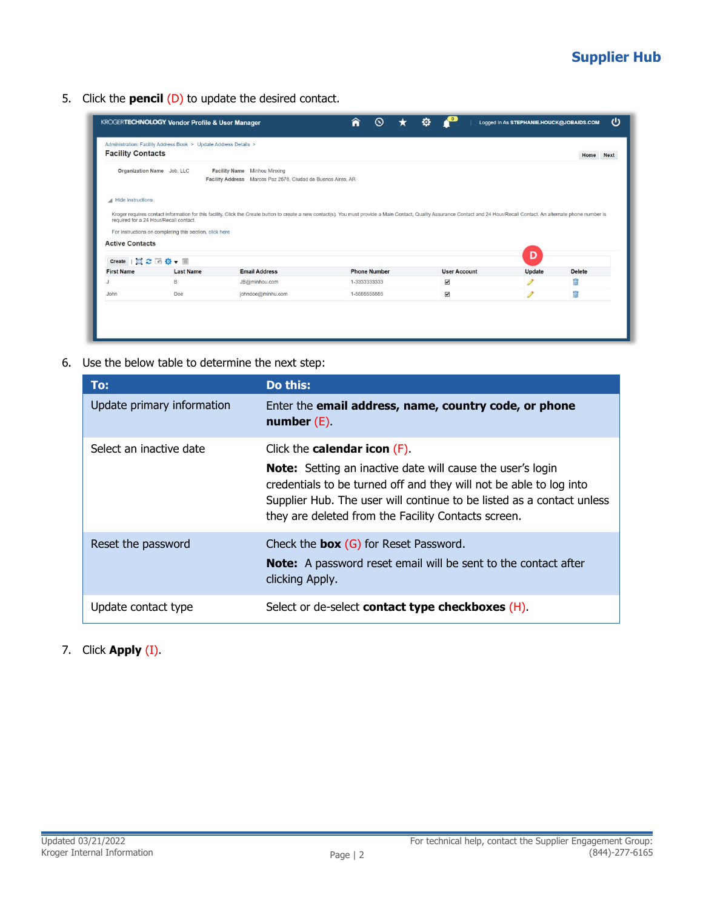## **Supplier Hub**

5. Click the **pencil** (D) to update the desired contact.

| <b>Facility Contacts</b>                     | Administration: Facility Address Book > Update Address Details > |                                                                                                                                                                                                                                |                              |                           |        | <b>Next</b><br>Home |
|----------------------------------------------|------------------------------------------------------------------|--------------------------------------------------------------------------------------------------------------------------------------------------------------------------------------------------------------------------------|------------------------------|---------------------------|--------|---------------------|
|                                              | Organization Name Job, LLC                                       | Facility Name Minhou Minxing<br>Facility Address Marcos Paz 2576, Ciudad de Buenos Aires, AR                                                                                                                                   |                              |                           |        |                     |
|                                              |                                                                  |                                                                                                                                                                                                                                |                              |                           |        |                     |
|                                              |                                                                  |                                                                                                                                                                                                                                |                              |                           |        |                     |
|                                              |                                                                  | Kroger requires contact information for this facility. Click the Create button to create a new contact(s). You must provide a Main Contact, Quality Assurance Contact and 24 Hour/Recall Contact. An alternate phone number is |                              |                           |        |                     |
|                                              |                                                                  |                                                                                                                                                                                                                                |                              |                           |        |                     |
| required for a 24 Hour/Recall contact.       | For instructions on completing this section, click here          |                                                                                                                                                                                                                                |                              |                           |        |                     |
| Hide Instructions<br><b>Active Contacts</b>  |                                                                  |                                                                                                                                                                                                                                |                              |                           | D      |                     |
|                                              |                                                                  |                                                                                                                                                                                                                                |                              |                           |        |                     |
|                                              | <b>Last Name</b>                                                 | <b>Email Address</b>                                                                                                                                                                                                           | <b>Phone Number</b>          | <b>User Account</b>       | Update | <b>Delete</b>       |
| Create 国之国登 - 圖<br><b>First Name</b><br>John | B<br>Doe                                                         | JB@minhou.com<br>johndoe@minhu.com                                                                                                                                                                                             | 1-3333333333<br>1-5555555555 | $\blacktriangledown$<br>Δ | I<br>I | 甫<br>氚              |

6. Use the below table to determine the next step:

| To:                        | Do this:                                                                                                                                                                                                                                                                                                          |
|----------------------------|-------------------------------------------------------------------------------------------------------------------------------------------------------------------------------------------------------------------------------------------------------------------------------------------------------------------|
| Update primary information | Enter the email address, name, country code, or phone<br>number $(E)$                                                                                                                                                                                                                                             |
| Select an inactive date    | Click the <b>calendar icon</b> $(F)$ .<br><b>Note:</b> Setting an inactive date will cause the user's login<br>credentials to be turned off and they will not be able to log into<br>Supplier Hub. The user will continue to be listed as a contact unless<br>they are deleted from the Facility Contacts screen. |
| Reset the password         | Check the <b>box</b> $(G)$ for Reset Password.<br><b>Note:</b> A password reset email will be sent to the contact after<br>clicking Apply.                                                                                                                                                                        |
| Update contact type        | Select or de-select <b>contact type checkboxes</b> (H).                                                                                                                                                                                                                                                           |

#### 7. Click **Apply** (I).